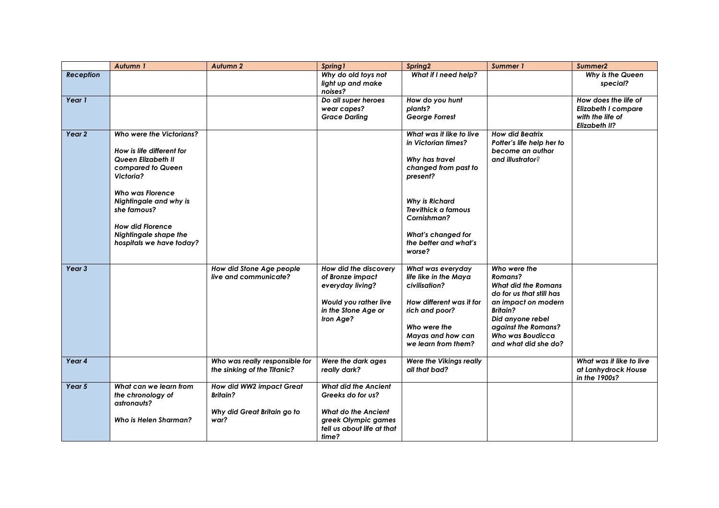|                   | Autumn 1                                                                                                                                                                                                                                                                 | Autumn <sub>2</sub>                                                                | Spring 1                                                                                                                                     | Spring2                                                                                                                                                                                                                              | Summer 1                                                                                                                                                                                                                  | Summer <sub>2</sub>                                                              |
|-------------------|--------------------------------------------------------------------------------------------------------------------------------------------------------------------------------------------------------------------------------------------------------------------------|------------------------------------------------------------------------------------|----------------------------------------------------------------------------------------------------------------------------------------------|--------------------------------------------------------------------------------------------------------------------------------------------------------------------------------------------------------------------------------------|---------------------------------------------------------------------------------------------------------------------------------------------------------------------------------------------------------------------------|----------------------------------------------------------------------------------|
| <b>Reception</b>  |                                                                                                                                                                                                                                                                          |                                                                                    | Why do old toys not<br>light up and make<br>noises?                                                                                          | What if I need help?                                                                                                                                                                                                                 |                                                                                                                                                                                                                           | Why is the Queen<br>special?                                                     |
| Year 1            |                                                                                                                                                                                                                                                                          |                                                                                    | Do all super heroes<br>wear capes?<br><b>Grace Darling</b>                                                                                   | How do you hunt<br>plants?<br>George Forrest                                                                                                                                                                                         |                                                                                                                                                                                                                           | How does the life of<br>Elizabeth I compare<br>with the life of<br>Elizabeth II? |
| Year 2            | Who were the Victorians?<br>How is life different for<br>Queen Elizabeth II<br>compared to Queen<br>Victoria?<br><b>Who was Florence</b><br>Nightingale and why is<br>she famous?<br><b>How did Florence</b><br><b>Nightingale shape the</b><br>hospitals we have today? |                                                                                    |                                                                                                                                              | What was it like to live<br>in Victorian times?<br>Why has travel<br>changed from past to<br>present?<br><b>Why is Richard</b><br><b>Trevithick a famous</b><br>Cornishman?<br>What's changed for<br>the better and what's<br>worse? | <b>How did Beatrix</b><br>Potter's life help her to<br>become an author<br>and illustrator?                                                                                                                               |                                                                                  |
| Year <sub>3</sub> |                                                                                                                                                                                                                                                                          | How did Stone Age people<br>live and communicate?                                  | How did the discovery<br>of Bronze impact<br>everyday living?<br>Would you rather live<br>in the Stone Age or<br>Iron Age?                   | What was everyday<br>life like in the Maya<br>civilisation?<br>How different was it for<br>rich and poor?<br>Who were the<br>Mayas and how can<br>we learn from them?                                                                | Who were the<br>Romans?<br><b>What did the Romans</b><br>do for us that still has<br>an impact on modern<br><b>Britain?</b><br>Did anyone rebel<br>against the Romans?<br><b>Who was Boudicca</b><br>and what did she do? |                                                                                  |
| Year 4            |                                                                                                                                                                                                                                                                          | Who was really responsible for<br>the sinking of the Titanic?                      | Were the dark ages<br>really dark?                                                                                                           | Were the Vikings really<br>all that bad?                                                                                                                                                                                             |                                                                                                                                                                                                                           | What was it like to live<br>at Lanhydrock House<br>in the 1900s?                 |
| Year 5            | What can we learn from<br>the chronology of<br>astronauts?<br>Who is Helen Sharman?                                                                                                                                                                                      | How did WW2 impact Great<br><b>Britain?</b><br>Why did Great Britain go to<br>war? | <b>What did the Ancient</b><br>Greeks do for us?<br><b>What do the Ancient</b><br>greek Olympic games<br>tell us about life at that<br>time? |                                                                                                                                                                                                                                      |                                                                                                                                                                                                                           |                                                                                  |